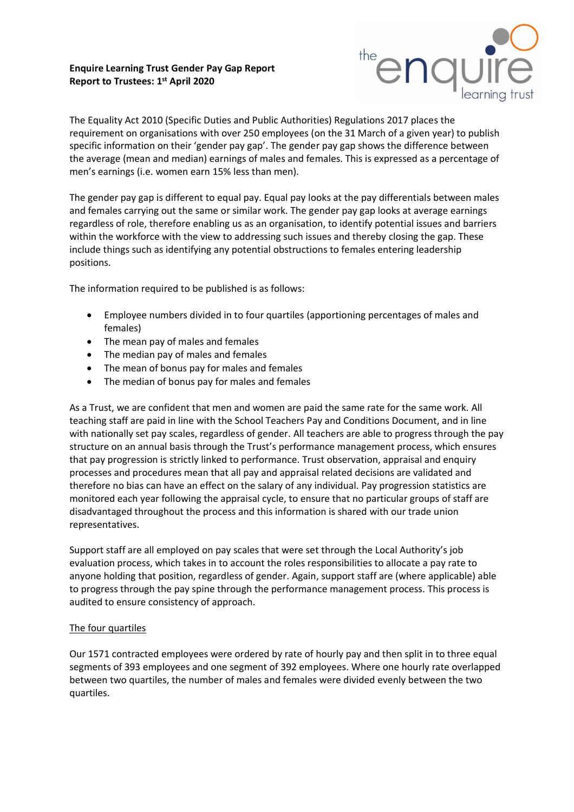**Enquire Learning Trust Gender Pay Gap Report Report to Trustees: 1 st April 2020**



The Equality Act 2010 (Specific Duties and Public Authorities) Regulations 2017 places the requirement on organisations with over 250 employees (on the 31 March of a given year) to publish specific information on their 'gender pay gap'. The gender pay gap shows the difference between the average (mean and median) earnings of males and females. This is expressed as a percentage of men's earnings (i.e. women earn 15% less than men).

The gender pay gap is different to equal pay. Equal pay looks at the pay differentials between males and females carrying out the same or similar work. The gender pay gap looks at average earnings regardless of role, therefore enabling us as an organisation, to identify potential issues and barriers within the workforce with the view to addressing such issues and thereby closing the gap. These include things such as identifying any potential obstructions to females entering leadership positions.

The information required to be published is as follows:

- Employee numbers divided in to four quartiles (apportioning percentages of males and females)
- The mean pay of males and females
- The median pay of males and females
- The mean of bonus pay for males and females
- The median of bonus pay for males and females

As a Trust, we are confident that men and women are paid the same rate for the same work. All teaching staff are paid in line with the School Teachers Pay and Conditions Document, and in line with nationally set pay scales, regardless of gender. All teachers are able to progress through the pay structure on an annual basis through the Trust's performance management process, which ensures that pay progression is strictly linked to performance. Trust observation, appraisal and enquiry processes and procedures mean that all pay and appraisal related decisions are validated and therefore no bias can have an effect on the salary of any individual. Pay progression statistics are monitored each year following the appraisal cycle, to ensure that no particular groups of staff are disadvantaged throughout the process and this information is shared with our trade union representatives.

Support staff are all employed on pay scales that were set through the Local Authority's job evaluation process, which takes in to account the roles responsibilities to allocate a pay rate to anyone holding that position, regardless of gender. Again, support staff are (where applicable) able to progress through the pay spine through the performance management process. This process is audited to ensure consistency of approach.

## The four quartiles

Our 1571 contracted employees were ordered by rate of hourly pay and then split in to three equal segments of 393 employees and one segment of 392 employees. Where one hourly rate overlapped between two quartiles, the number of males and females were divided evenly between the two quartiles.